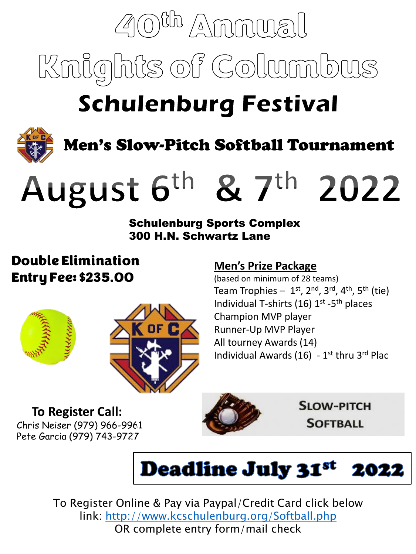# $\mathbb{Z}$ (0)<sup>Ch</sup> Ammual Knights of Columbus

# **Schulenburg Festival**



Men's Slow-Pitch Softball Tournament

# August 6th & 7th 2022

#### Schulenburg Sports Complex 300 H.N. Schwartz Lane

### Double Elimination Entry Fee: \$235.00





### **Men's Prize Package**

(based on minimum of 28 teams) Team Trophies – 1<sup>st</sup>, 2<sup>nd</sup>, 3<sup>rd</sup>, 4<sup>th</sup>, 5<sup>th</sup> (tie) Individual T-shirts (16) 1<sup>st</sup> -5<sup>th</sup> places Champion MVP player Runner-Up MVP Player All tourney Awards (14) Individual Awards (16) - 1<sup>st</sup> thru 3<sup>rd</sup> Plac

#### **To Register Call:**  Chris Neiser (979) 966-9961 Pete Garcia (979) 743-9727



**SLOW-PITCH SOFTBALL** 



To Register Online & Pay via Paypal/Credit Card click below link:<http://www.kcschulenburg.org/Softball.php> OR complete entry form/mail check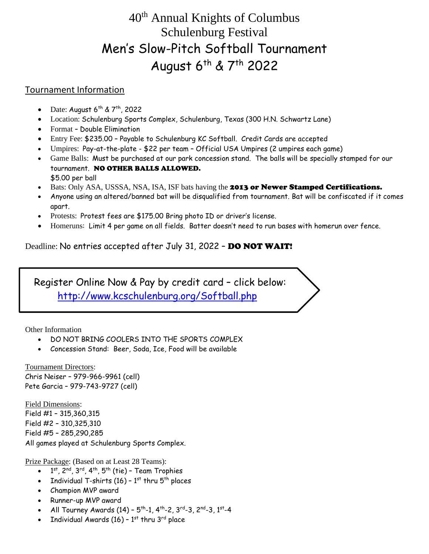## 40th Annual Knights of Columbus Schulenburg Festival Men's Slow-Pitch Softball Tournament August 6<sup>th</sup> & 7<sup>th</sup> 2022

#### Tournament Information

- Date: August  $6^{th}$  &  $7^{th}$ , 2022
- Location: Schulenburg Sports Complex, Schulenburg, Texas (300 H.N. Schwartz Lane)
- Format Double Elimination
- Entry Fee: \$235.00 Payable to Schulenburg KC Softball. Credit Cards are accepted
- Umpires: Pay-at-the-plate \$22 per team Official USA Umpires (2 umpires each game)
- Game Balls: Must be purchased at our park concession stand. The balls will be specially stamped for our tournament. NO OTHER BALLS ALLOWED. \$5.00 per ball
- Bats: Only ASA, USSSA, NSA, ISA, ISF bats having the 2013 or Newer Stamped Certifications.
- Anyone using an altered/banned bat will be disqualified from tournament. Bat will be confiscated if it comes apart.
- Protests: Protest fees are \$175.00 Bring photo ID or driver's license.
- Homeruns: Limit 4 per game on all fields. Batter doesn't need to run bases with homerun over fence.

Deadline: No entries accepted after July 31, 2022 – DO NOT WAIT!

 Register Online Now & Pay by credit card – click below: <http://www.kcschulenburg.org/Softball.php>

Other Information

- DO NOT BRING COOLERS INTO THE SPORTS COMPLEX
- Concession Stand: Beer, Soda, Ice, Food will be available

Tournament Directors: Chris Neiser – 979-966-9961 (cell) Pete Garcia – 979-743-9727 (cell)

Field Dimensions: Field #1 – 315,360,315 Field #2 – 310,325,310 Field #5 – 285,290,285 All games played at Schulenburg Sports Complex.

Prize Package: (Based on at Least 28 Teams):

- $\bullet$   $1^\text{st}$ , 2<sup>nd</sup>, 3<sup>rd</sup>, 4<sup>th</sup>, 5<sup>th</sup> (tie) Team Trophies
- Individual T-shirts (16)  $1^{st}$  thru  $5^{th}$  places
- Champion MVP award
- Runner-up MVP award
- All Tourney Awards (14)  $5^{\text{th}}$ -1, 4 $^{\text{th}}$ -2, 3 $^{\text{rd}}$ -3, 2 $^{\text{nd}}$ -3, 1 $^{\text{st}}$ -4
- Individual Awards (16)  $1^{\text{st}}$  thru 3<sup>rd</sup> place